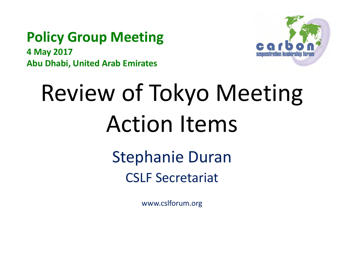#### **Policy Group Meeting**

**4 May 2017 Abu Dhabi, United Arab Emirates**



# Review of Tokyo Meeting Action Items

Stephanie Duran CSLF Secretariat

www.cslforum.org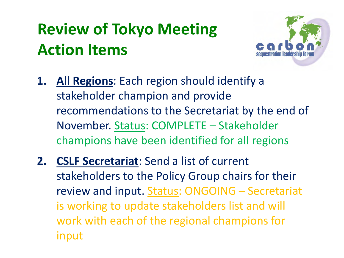## **Review of Tokyo Meeting Action Items**



- **1. All Regions**: Each region should identify a stakeholder champion and provide recommendations to the Secretariat by the end of November. Status: COMPLETE – Stakeholder champions have been identified for all regions
- **2. CSLF Secretariat**: Send a list of current stakeholders to the Policy Group chairs for their review and input. Status: ONGOING - Secretariat is working to update stakeholders list and will work with each of the regional champions for input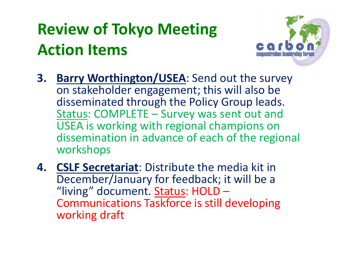## **Review of Tokyo Meeting Action Items**



- **3. Barry Worthington/USEA**: Send out the survey on stakeholder engagement; this will also be disseminated through the Policy Group leads. Status: COMPLETE – Survey was sent out and USEA is working with regional champions on dissemination in advance of each of the regional workshops
- **4. CSLF Secretariat**: Distribute the media kit in December/January for feedback; it will be a "living" document. Status: HOLD -Communications Taskforce is still developing working draft